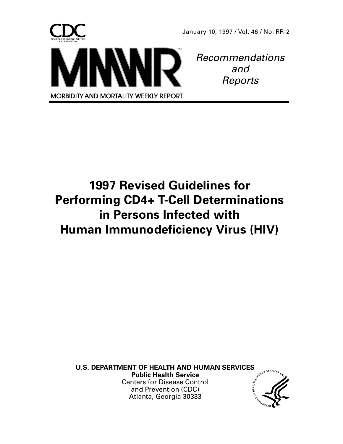

Recommendations and Reports

# **1997 Revised Guidelines for Performing CD4+ T-Cell Determinations in Persons Infected with Human Immunodeficiency Virus (HIV)**

**U.S. DEPARTMENT OF HEALTH AND HUMAN SERVICES**<br>Public Health Service<br>Centers for Disease Cort **Public Health Service** Centers for Disease Control and Prevention (CDC) Atlanta, Georgia 30333

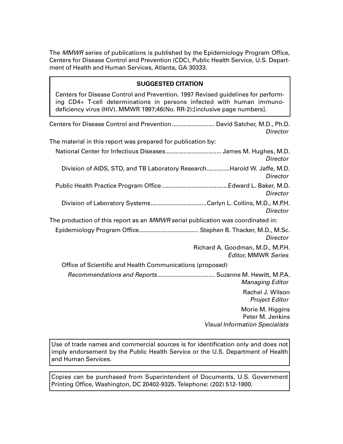The *MMWR* series of publications is published by the Epidemiology Program Office, Centers for Disease Control and Prevention (CDC), Public Health Service, U.S. Department of Health and Human Services, Atlanta, GA 30333.

#### **SUGGESTED CITATION**

Centers for Disease Control and Prevention. 1997 Revised guidelines for performing CD4+ T-cell determinations in persons infected with human immunodeficiency virus (HIV). MMWR 1997;46(No. RR-2):[inclusive page numbers].

| Centers for Disease Control and Prevention  David Satcher, M.D., Ph.D.<br>Director     |
|----------------------------------------------------------------------------------------|
| The material in this report was prepared for publication by:                           |
| Director                                                                               |
| Division of AIDS, STD, and TB Laboratory ResearchHarold W. Jaffe, M.D.<br>Director     |
| <b>Director</b>                                                                        |
| Director                                                                               |
| The production of this report as an <i>MMWR</i> serial publication was coordinated in: |
| Director                                                                               |
| Richard A. Goodman, M.D., M.P.H.<br><b>Editor, MMWR Series</b>                         |
| Office of Scientific and Health Communications (proposed)                              |
| Recommendations and Reports Suzanne M. Hewitt, M.P.A.<br><b>Managing Editor</b>        |
| Rachel J. Wilson<br><b>Project Editor</b>                                              |
| Morie M. Higgins<br>Peter M. Jenkins                                                   |
| <b>Visual Information Specialists</b>                                                  |

Use of trade names and commercial sources is for identification only and does not imply endorsement by the Public Health Service or the U.S. Department of Health and Human Services.

Copies can be purchased from Superintendent of Documents, U.S. Government Printing Office, Washington, DC 20402-9325. Telephone: (202) 512-1800.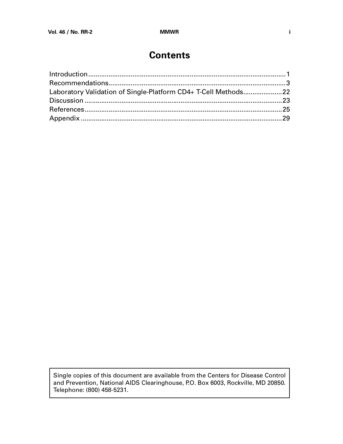# **Contents**

| Laboratory Validation of Single-Platform CD4+ T-Cell Methods22 |  |
|----------------------------------------------------------------|--|
|                                                                |  |
|                                                                |  |
|                                                                |  |

Single copies of this document are available from the Centers for Disease Control and Prevention, National AIDS Clearinghouse, P.O. Box 6003, Rockville, MD 20850. Telephone: (800) 458-5231.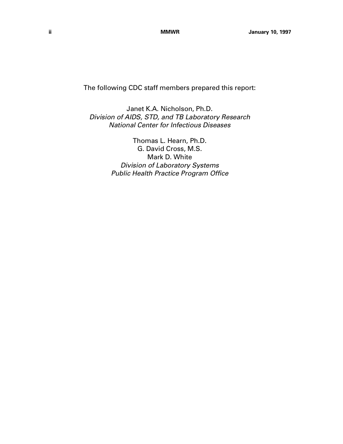The following CDC staff members prepared this report:

Janet K.A. Nicholson, Ph.D. Division of AIDS, STD, and TB Laboratory Research National Center for Infectious Diseases

> Thomas L. Hearn, Ph.D. G. David Cross, M.S. Mark D. White Division of Laboratory Systems Public Health Practice Program Office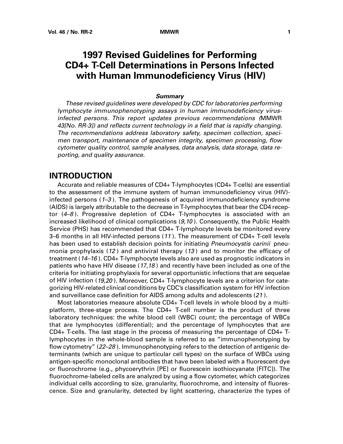# <span id="page-4-0"></span>**1997 Revised Guidelines for Performing CD4+ T-Cell Determinations in Persons Infected with Human Immunodeficiency Virus (HIV)**

#### **Summary**

These revised guidelines were developed by CDC for laboratories performing lymphocyte immunophenotyping assays in human immunodeficiency virusinfected persons. This report updates previous recommendations (MMWR 43[No. RR-3]) and reflects current technology in a field that is rapidly changing. The recommendations address laboratory safety, specimen collection, specimen transport, maintenance of specimen integrity, specimen processing, flow cytometer quality control, sample analyses, data analysis, data storage, data reporting, and quality assurance.

#### **INTRODUCTION**

Accurate and reliable measures of CD4+ T-lymphocytes (CD4+ T-cells) are essential to the assessment of the immune system of human immunodeficiency virus (HIV) infected persons (1–3 ). The pathogenesis of acquired immunodeficiency syndrome (AIDS) is largely attributable to the decrease in T-lymphocytes that bear the CD4 receptor (4–8 ). Progressive depletion of CD4+ T-lymphocytes is associated with an increased likelihood of clinical complications  $(9,10)$ . Consequently, the Public Health Service (PHS) has recommended that CD4+ T-lymphocyte levels be monitored every 3–6 months in all HIV-infected persons (11 ). The measurement of CD4+ T-cell levels has been used to establish decision points for initiating *Pneumocystis carinii* pneumonia prophylaxis (12) and antiviral therapy (13) and to monitor the efficacy of treatment (14–16 ). CD4+ T-lymphocyte levels also are used as prognostic indicators in patients who have HIV disease (17,18 ) and recently have been included as one of the criteria for initiating prophylaxis for several opportunistic infections that are sequelae of HIV infection (19,20). Moreover, CD4+ T-lymphocyte levels are a criterion for categorizing HIV-related clinical conditions by CDC's classification system for HIV infection and surveillance case definition for AIDS among adults and adolescents (21 ).

Most laboratories measure absolute CD4+ T-cell levels in whole blood by a multiplatform, three-stage process. The CD4+ T-cell number is the product of three laboratory techniques: the white blood cell (WBC) count; the percentage of WBCs that are lymphocytes (differential); and the percentage of lymphocytes that are CD4+ T-cells. The last stage in the process of measuring the percentage of CD4+ Tlymphocytes in the whole-blood sample is referred to as "immunophenotyping by flow cytometry" (22–28 ). Immunophenotyping refers to the detection of antigenic determinants (which are unique to particular cell types) on the surface of WBCs using antigen-specific monoclonal antibodies that have been labeled with a fluorescent dye or fluorochrome (e.g., phycoerythrin [PE] or fluorescein isothiocyanate [FITC]). The fluorochrome-labeled cells are analyzed by using a flow cytometer, which categorizes individual cells according to size, granularity, fluorochrome, and intensity of fluorescence. Size and granularity, detected by light scattering, characterize the types of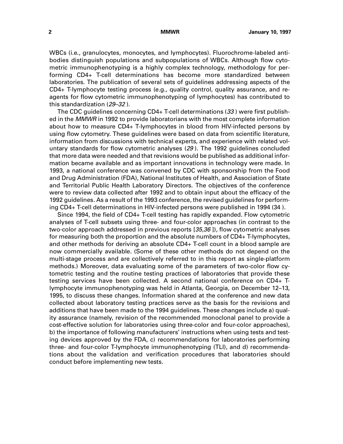WBCs (i.e., granulocytes, monocytes, and lymphocytes). Fluorochrome-labeled antibodies distinguish populations and subpopulations of WBCs. Although flow cytometric immunophenotyping is a highly complex technology, methodology for performing CD4+ T-cell determinations has become more standardized between laboratories. The publication of several sets of guidelines addressing aspects of the CD4+ T-lymphocyte testing process (e.g., quality control, quality assurance, and reagents for flow cytometric immunophenotyping of lymphocytes) has contributed to this standardization (29–32 ).

The CDC guidelines concerning CD4+ T-cell determinations (33 ) were first published in the MMWR in 1992 to provide laboratorians with the most complete information about how to measure CD4+ T-lymphocytes in blood from HIV-infected persons by using flow cytometry. These guidelines were based on data from scientific literature, information from discussions with technical experts, and experience with related voluntary standards for flow cytometric analyses (29 ). The 1992 guidelines concluded that more data were needed and that revisions would be published as additional information became available and as important innovations in technology were made. In 1993, a national conference was convened by CDC with sponsorship from the Food and Drug Administration (FDA), National Institutes of Health, and Association of State and Territorial Public Health Laboratory Directors. The objectives of the conference were to review data collected after 1992 and to obtain input about the efficacy of the 1992 guidelines. As a result of the 1993 conference, the revised guidelines for performing CD4+ T-cell determinations in HIV-infected persons were published in 1994 (34 ).

Since 1994, the field of CD4+ T-cell testing has rapidly expanded. Flow cytometric analyses of T-cell subsets using three- and four-color approaches (in contrast to the two-color approach addressed in previous reports [35,36 ]), flow cytometric analyses for measuring both the proportion and the absolute numbers of CD4+ T-lymphocytes, and other methods for deriving an absolute CD4+ T-cell count in a blood sample are now commercially available. (Some of these other methods do not depend on the multi-stage process and are collectively referred to in this report as single-platform methods.) Moreover, data evaluating some of the parameters of two-color flow cytometric testing and the routine testing practices of laboratories that provide these testing services have been collected. A second national conference on CD4+ Tlymphocyte immunophenotyping was held in Atlanta, Georgia, on December 12–13, 1995, to discuss these changes. Information shared at the conference and new data collected about laboratory testing practices serve as the basis for the revisions and additions that have been made to the 1994 guidelines. These changes include a) quality assurance (namely, revision of the recommended monoclonal panel to provide a cost-effective solution for laboratories using three-color and four-color approaches), b) the importance of following manufacturers' instructions when using tests and testing devices approved by the FDA, c) recommendations for laboratories performing three- and four-color T-lymphocyte immunophenotyping (TLI), and d) recommendations about the validation and verification procedures that laboratories should conduct before implementing new tests.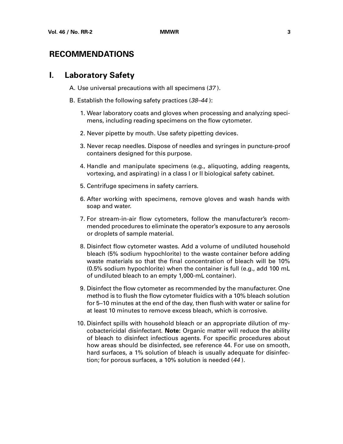<span id="page-6-0"></span>

### **RECOMMENDATIONS**

#### **I. Laboratory Safety**

A. Use universal precautions with all specimens (37 ).

- B. Establish the following safety practices (38–44 ):
	- 1. Wear laboratory coats and gloves when processing and analyzing specimens, including reading specimens on the flow cytometer.
	- 2. Never pipette by mouth. Use safety pipetting devices.
	- 3. Never recap needles. Dispose of needles and syringes in puncture-proof containers designed for this purpose.
	- 4. Handle and manipulate specimens (e.g., aliquoting, adding reagents, vortexing, and aspirating) in a class I or II biological safety cabinet.
	- 5. Centrifuge specimens in safety carriers.
	- 6. After working with specimens, remove gloves and wash hands with soap and water.
	- 7. For stream-in-air flow cytometers, follow the manufacturer's recommended procedures to eliminate the operator's exposure to any aerosols or droplets of sample material.
	- 8. Disinfect flow cytometer wastes. Add a volume of undiluted household bleach (5% sodium hypochlorite) to the waste container before adding waste materials so that the final concentration of bleach will be 10% (0.5% sodium hypochlorite) when the container is full (e.g., add 100 mL of undiluted bleach to an empty 1,000-mL container).
	- 9. Disinfect the flow cytometer as recommended by the manufacturer. One method is to flush the flow cytometer fluidics with a 10% bleach solution for 5–10 minutes at the end of the day, then flush with water or saline for at least 10 minutes to remove excess bleach, which is corrosive.
	- 10. Disinfect spills with household bleach or an appropriate dilution of mycobactericidal disinfectant. **Note:** Organic matter will reduce the ability of bleach to disinfect infectious agents. For specific procedures about how areas should be disinfected, see reference 44. For use on smooth, hard surfaces, a 1% solution of bleach is usually adequate for disinfection; for porous surfaces, a 10% solution is needed (44 ).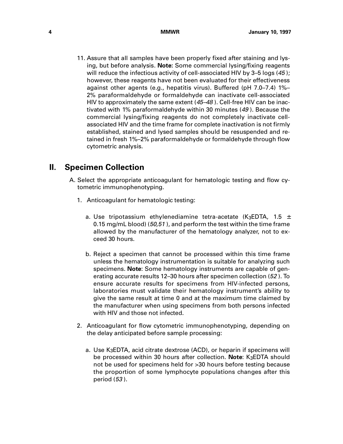11. Assure that all samples have been properly fixed after staining and lysing, but before analysis. **Note:** Some commercial lysing/fixing reagents will reduce the infectious activity of cell-associated HIV by 3–5 logs  $(45)$ ; however, these reagents have not been evaluated for their effectiveness against other agents (e.g., hepatitis virus). Buffered (pH 7.0–7.4) 1%– 2% paraformaldehyde or formaldehyde can inactivate cell-associated HIV to approximately the same extent  $(45-48)$ . Cell-free HIV can be inactivated with 1% paraformaldehyde within 30 minutes (49 ). Because the commercial lysing/fixing reagents do not completely inactivate cellassociated HIV and the time frame for complete inactivation is not firmly established, stained and lysed samples should be resuspended and retained in fresh 1%–2% paraformaldehyde or formaldehyde through flow cytometric analysis.

## **II. Specimen Collection**

- A. Select the appropriate anticoagulant for hematologic testing and flow cytometric immunophenotyping.
	- 1. Anticoagulant for hematologic testing:
		- a. Use tripotassium ethylenediamine tetra-acetate (K3EDTA, 1.5  $\pm$ 0.15 mg/mL blood) (50,51), and perform the test within the time frame allowed by the manufacturer of the hematology analyzer, not to exceed 30 hours.
		- b. Reject a specimen that cannot be processed within this time frame unless the hematology instrumentation is suitable for analyzing such specimens. **Note**: Some hematology instruments are capable of generating accurate results 12–30 hours after specimen collection (52 ). To ensure accurate results for specimens from HIV-infected persons, laboratories must validate their hematology instrument's ability to give the same result at time 0 and at the maximum time claimed by the manufacturer when using specimens from both persons infected with HIV and those not infected.
	- 2. Anticoagulant for flow cytometric immunophenotyping, depending on the delay anticipated before sample processing:
		- a. Use K3EDTA, acid citrate dextrose (ACD), or heparin if specimens will be processed within 30 hours after collection. **Note**: K3EDTA should not be used for specimens held for >30 hours before testing because the proportion of some lymphocyte populations changes after this period (53 ).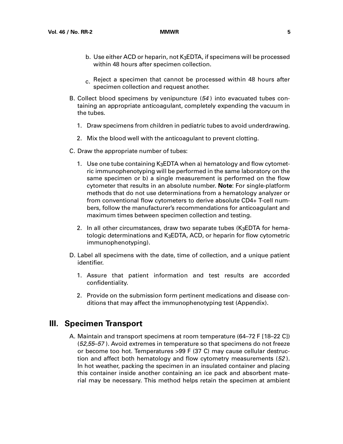- b. Use either ACD or heparin, not K3EDTA, if specimens will be processed within 48 hours after specimen collection.
- c. Reject a specimen that cannot be processed within 48 hours after specimen collection and request another.
- B. Collect blood specimens by venipuncture (54 ) into evacuated tubes containing an appropriate anticoagulant, completely expending the vacuum in the tubes.
	- 1. Draw specimens from children in pediatric tubes to avoid underdrawing.
	- 2. Mix the blood well with the anticoagulant to prevent clotting.
- C. Draw the appropriate number of tubes:
	- 1. Use one tube containing K3EDTA when a) hematology and flow cytometric immunophenotyping will be performed in the same laboratory on the same specimen or b) a single measurement is performed on the flow cytometer that results in an absolute number. **Note**: For single-platform methods that do not use determinations from a hematology analyzer or from conventional flow cytometers to derive absolute CD4+ T-cell numbers, follow the manufacturer's recommendations for anticoagulant and maximum times between specimen collection and testing.
	- 2. In all other circumstances, draw two separate tubes ( $K_3EDTA$  for hematologic determinations and K3EDTA, ACD, or heparin for flow cytometric immunophenotyping).
- D. Label all specimens with the date, time of collection, and a unique patient identifier.
	- 1. Assure that patient information and test results are accorded confidentiality.
	- 2. Provide on the submission form pertinent medications and disease conditions that may affect the immunophenotyping test (Appendix).

### **III. Specimen Transport**

A. Maintain and transport specimens at room temperature (64–72 F [18–22 C]) (52,55–57 ). Avoid extremes in temperature so that specimens do not freeze or become too hot. Temperatures >99 F (37 C) may cause cellular destruction and affect both hematology and flow cytometry measurements (52 ). In hot weather, packing the specimen in an insulated container and placing this container inside another containing an ice pack and absorbent material may be necessary. This method helps retain the specimen at ambient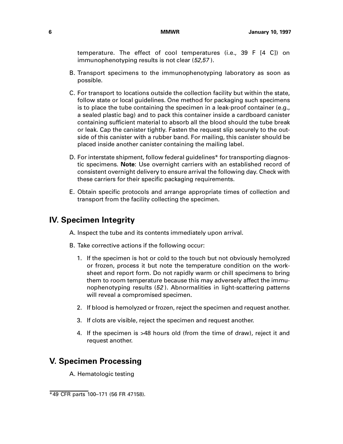temperature. The effect of cool temperatures (i.e., 39 F [4 C]) on immunophenotyping results is not clear (52,57 ).

- B. Transport specimens to the immunophenotyping laboratory as soon as possible.
- C. For transport to locations outside the collection facility but within the state, follow state or local guidelines. One method for packaging such specimens is to place the tube containing the specimen in a leak-proof container (e.g., a sealed plastic bag) and to pack this container inside a cardboard canister containing sufficient material to absorb all the blood should the tube break or leak. Cap the canister tightly. Fasten the request slip securely to the outside of this canister with a rubber band. For mailing, this canister should be placed inside another canister containing the mailing label.
- D. For interstate shipment, follow federal guidelines\* for transporting diagnostic specimens. **Note**: Use overnight carriers with an established record of consistent overnight delivery to ensure arrival the following day. Check with these carriers for their specific packaging requirements.
- E. Obtain specific protocols and arrange appropriate times of collection and transport from the facility collecting the specimen.

#### **IV. Specimen Integrity**

A. Inspect the tube and its contents immediately upon arrival.

- B. Take corrective actions if the following occur:
	- 1. If the specimen is hot or cold to the touch but not obviously hemolyzed or frozen, process it but note the temperature condition on the worksheet and report form. Do not rapidly warm or chill specimens to bring them to room temperature because this may adversely affect the immunophenotyping results (52 ). Abnormalities in light-scattering patterns will reveal a compromised specimen.
	- 2. If blood is hemolyzed or frozen, reject the specimen and request another.
	- 3. If clots are visible, reject the specimen and request another.
	- 4. If the specimen is >48 hours old (from the time of draw), reject it and request another.

### **V. Specimen Processing**

A. Hematologic testing

<sup>\*49</sup> CFR parts 100–171 (56 FR 47158).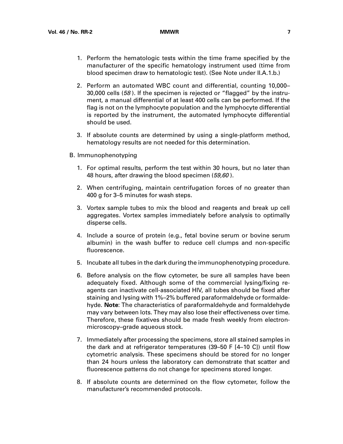- 1. Perform the hematologic tests within the time frame specified by the manufacturer of the specific hematology instrument used (time from blood specimen draw to hematologic test). (See Note under II.A.1.b.)
- 2. Perform an automated WBC count and differential, counting 10,000– 30,000 cells  $(58)$ . If the specimen is rejected or "flagged" by the instrument, a manual differential of at least 400 cells can be performed. If the flag is not on the lymphocyte population and the lymphocyte differential is reported by the instrument, the automated lymphocyte differential should be used.
- 3. If absolute counts are determined by using a single-platform method, hematology results are not needed for this determination.
- B. Immunophenotyping
	- 1. For optimal results, perform the test within 30 hours, but no later than 48 hours, after drawing the blood specimen (59,60).
	- 2. When centrifuging, maintain centrifugation forces of no greater than 400 g for 3–5 minutes for wash steps.
	- 3. Vortex sample tubes to mix the blood and reagents and break up cell aggregates. Vortex samples immediately before analysis to optimally disperse cells.
	- 4. Include a source of protein (e.g., fetal bovine serum or bovine serum albumin) in the wash buffer to reduce cell clumps and non-specific fluorescence.
	- 5. Incubate all tubes in the dark during the immunophenotyping procedure.
	- 6. Before analysis on the flow cytometer, be sure all samples have been adequately fixed. Although some of the commercial lysing/fixing reagents can inactivate cell-associated HIV, all tubes should be fixed after staining and lysing with 1%–2% buffered paraformaldehyde or formaldehyde. **Note**: The characteristics of paraformaldehyde and formaldehyde may vary between lots. They may also lose their effectiveness over time. Therefore, these fixatives should be made fresh weekly from electronmicroscopy–grade aqueous stock.
	- 7. Immediately after processing the specimens, store all stained samples in the dark and at refrigerator temperatures (39–50 F [4–10 C]) until flow cytometric analysis. These specimens should be stored for no longer than 24 hours unless the laboratory can demonstrate that scatter and fluorescence patterns do not change for specimens stored longer.
	- 8. If absolute counts are determined on the flow cytometer, follow the manufacturer's recommended protocols.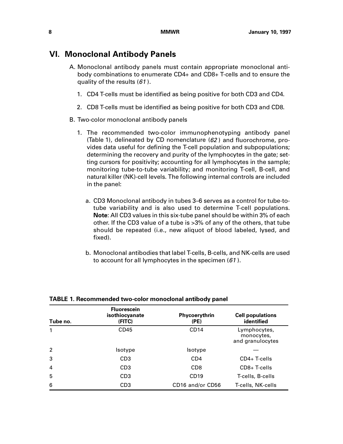### **VI. Monoclonal Antibody Panels**

- A. Monoclonal antibody panels must contain appropriate monoclonal antibody combinations to enumerate CD4+ and CD8+ T-cells and to ensure the quality of the results  $(61)$ .
	- 1. CD4 T-cells must be identified as being positive for both CD3 and CD4.
	- 2. CD8 T-cells must be identified as being positive for both CD3 and CD8.
- B. Two-color monoclonal antibody panels
	- 1. The recommended two-color immunophenotyping antibody panel (Table 1), delineated by CD nomenclature  $(62)$  and fluorochrome, provides data useful for defining the T-cell population and subpopulations; determining the recovery and purity of the lymphocytes in the gate; setting cursors for positivity; accounting for all lymphocytes in the sample; monitoring tube-to-tube variability; and monitoring T-cell, B-cell, and natural killer (NK)-cell levels. The following internal controls are included in the panel:
		- a. CD3 Monoclonal antibody in tubes 3–6 serves as a control for tube-totube variability and is also used to determine T-cell populations. **Note**: All CD3 values in this six-tube panel should be within 3% of each other. If the CD3 value of a tube is >3% of any of the others, that tube should be repeated (i.e., new aliquot of blood labeled, lysed, and fixed).
		- b. Monoclonal antibodies that label T-cells, B-cells, and NK-cells are used to account for all lymphocytes in the specimen (61 ).

| Tube no.       | <b>Fluorescein</b><br>isothiocyanate<br>(FITC) | Phycoerythrin<br>(PE) | <b>Cell populations</b><br>identified          |
|----------------|------------------------------------------------|-----------------------|------------------------------------------------|
| 1              | CD45                                           | CD <sub>14</sub>      | Lymphocytes,<br>monocytes,<br>and granulocytes |
| $\overline{2}$ | <b>Isotype</b>                                 | <i>sotype</i>         |                                                |
| 3              | CD <sub>3</sub>                                | CD <sub>4</sub>       | $CD4+T-cells$                                  |
| $\overline{4}$ | CD <sub>3</sub>                                | CD <sub>8</sub>       | $CD8+T\text{-cells}$                           |
| 5              | CD <sub>3</sub>                                | CD <sub>19</sub>      | T-cells, B-cells                               |
| 6              | CD <sub>3</sub>                                | CD16 and/or CD56      | T-cells, NK-cells                              |

**TABLE 1. Recommended two-color monoclonal antibody panel**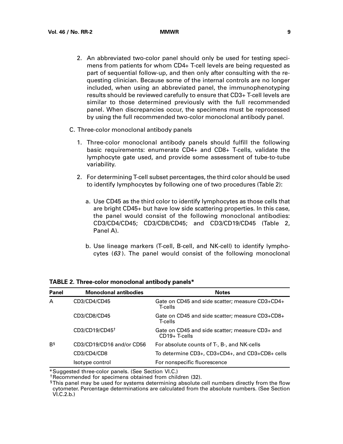- 2. An abbreviated two-color panel should only be used for testing specimens from patients for whom CD4+ T-cell levels are being requested as part of sequential follow-up, and then only after consulting with the requesting clinician. Because some of the internal controls are no longer included, when using an abbreviated panel, the immunophenotyping results should be reviewed carefully to ensure that CD3+ T-cell levels are similar to those determined previously with the full recommended panel. When discrepancies occur, the specimens must be reprocessed by using the full recommended two-color monoclonal antibody panel.
- C. Three-color monoclonal antibody panels
	- 1. Three-color monoclonal antibody panels should fulfill the following basic requirements: enumerate CD4+ and CD8+ T-cells, validate the lymphocyte gate used, and provide some assessment of tube-to-tube variability.
	- 2. For determining T-cell subset percentages, the third color should be used to identify lymphocytes by following one of two procedures (Table 2):
		- a. Use CD45 as the third color to identify lymphocytes as those cells that are bright CD45+ but have low side scattering properties. In this case, the panel would consist of the following monoclonal antibodies: CD3/CD4/CD45; CD3/CD8/CD45; and CD3/CD19/CD45 (Table 2, Panel A).
		- b. Use lineage markers (T-cell, B-cell, and NK-cell) to identify lymphocytes  $(63)$ . The panel would consist of the following monoclonal

| Panel    | <b>Monoclonal antibodies</b> | <b>Notes</b>                                                       |
|----------|------------------------------|--------------------------------------------------------------------|
| A        | CD3/CD4/CD45                 | Gate on CD45 and side scatter; measure CD3+CD4+<br>T-cells         |
|          | CD3/CD8/CD45                 | Gate on CD45 and side scatter; measure CD3+CD8+<br>T-cells         |
|          | CD3/CD19/CD45 <sup>+</sup>   | Gate on CD45 and side scatter; measure CD3+ and<br>$CD19+$ T-cells |
| $R^{\S}$ | CD3/CD19/CD16 and/or CD56    | For absolute counts of T-, B-, and NK-cells                        |
|          | CD3/CD4/CD8                  | To determine CD3+, CD3+CD4+, and CD3+CD8+ cells                    |
|          | Isotype control              | For nonspecific fluorescence                                       |

**TABLE 2. Three-color monoclonal antibody panels\***

\*Suggested three-color panels. (See Section VI.C.)

†Recommended for specimens obtained from children (32).

<sup>§</sup>This panel may be used for systems determining absolute cell numbers directly from the flow cytometer. Percentage determinations are calculated from the absolute numbers. (See Section VI.C.2.b.)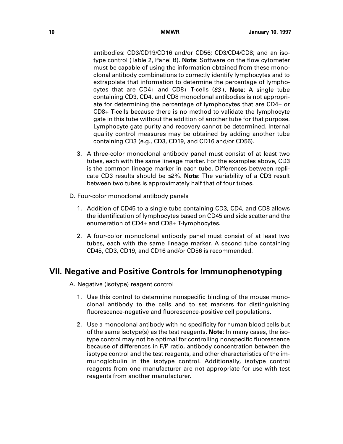antibodies: CD3/CD19/CD16 and/or CD56; CD3/CD4/CD8; and an isotype control (Table 2, Panel B). **Note**: Software on the flow cytometer must be capable of using the information obtained from these monoclonal antibody combinations to correctly identify lymphocytes and to extrapolate that information to determine the percentage of lymphocytes that are CD4+ and CD8+ T-cells (63 ). **Note**: A single tube containing CD3, CD4, and CD8 monoclonal antibodies is not appropriate for determining the percentage of lymphocytes that are CD4+ or CD8+ T-cells because there is no method to validate the lymphocyte gate in this tube without the addition of another tube for that purpose. Lymphocyte gate purity and recovery cannot be determined. Internal quality control measures may be obtained by adding another tube containing CD3 (e.g., CD3, CD19, and CD16 and/or CD56).

- 3. A three-color monoclonal antibody panel must consist of at least two tubes, each with the same lineage marker. For the examples above, CD3 is the common lineage marker in each tube. Differences between replicate CD3 results should be ≤2%. **Note:** The variability of a CD3 result between two tubes is approximately half that of four tubes.
- D. Four-color monoclonal antibody panels
	- 1. Addition of CD45 to a single tube containing CD3, CD4, and CD8 allows the identification of lymphocytes based on CD45 and side scatter and the enumeration of CD4+ and CD8+ T-lymphocytes.
	- 2. A four-color monoclonal antibody panel must consist of at least two tubes, each with the same lineage marker. A second tube containing CD45, CD3, CD19, and CD16 and/or CD56 is recommended.

#### **VII. Negative and Positive Controls for Immunophenotyping**

A. Negative (isotype) reagent control

- 1. Use this control to determine nonspecific binding of the mouse monoclonal antibody to the cells and to set markers for distinguishing fluorescence-negative and fluorescence-positive cell populations.
- 2. Use a monoclonal antibody with no specificity for human blood cells but of the same isotype(s) as the test reagents. **Note**: In many cases, the isotype control may not be optimal for controlling nonspecific fluorescence because of differences in F/P ratio, antibody concentration between the isotype control and the test reagents, and other characteristics of the immunoglobulin in the isotype control. Additionally, isotype control reagents from one manufacturer are not appropriate for use with test reagents from another manufacturer.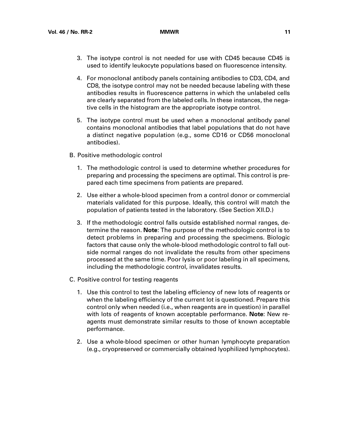- 3. The isotype control is not needed for use with CD45 because CD45 is used to identify leukocyte populations based on fluorescence intensity.
- 4. For monoclonal antibody panels containing antibodies to CD3, CD4, and CD8, the isotype control may not be needed because labeling with these antibodies results in fluorescence patterns in which the unlabeled cells are clearly separated from the labeled cells. In these instances, the negative cells in the histogram are the appropriate isotype control.
- 5. The isotype control must be used when a monoclonal antibody panel contains monoclonal antibodies that label populations that do not have a distinct negative population (e.g., some CD16 or CD56 monoclonal antibodies).
- B. Positive methodologic control
	- 1. The methodologic control is used to determine whether procedures for preparing and processing the specimens are optimal. This control is prepared each time specimens from patients are prepared.
	- 2. Use either a whole-blood specimen from a control donor or commercial materials validated for this purpose. Ideally, this control will match the population of patients tested in the laboratory. (See Section XII.D.)
	- 3. If the methodologic control falls outside established normal ranges, determine the reason. **Note**: The purpose of the methodologic control is to detect problems in preparing and processing the specimens. Biologic factors that cause only the whole-blood methodologic control to fall outside normal ranges do not invalidate the results from other specimens processed at the same time. Poor lysis or poor labeling in all specimens, including the methodologic control, invalidates results.
- C. Positive control for testing reagents
	- 1. Use this control to test the labeling efficiency of new lots of reagents or when the labeling efficiency of the current lot is questioned. Prepare this control only when needed (i.e., when reagents are in question) in parallel with lots of reagents of known acceptable performance. **Note**: New reagents must demonstrate similar results to those of known acceptable performance.
	- 2. Use a whole-blood specimen or other human lymphocyte preparation (e.g., cryopreserved or commercially obtained lyophilized lymphocytes).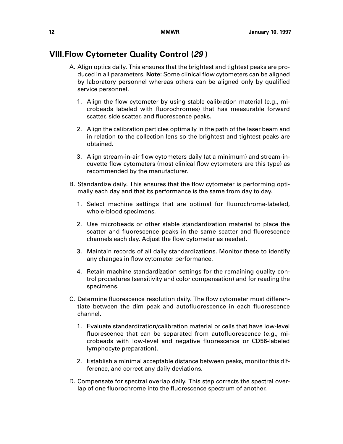### **VIII.Flow Cytometer Quality Control (29 )**

- A. Align optics daily. This ensures that the brightest and tightest peaks are produced in all parameters. **Note**: Some clinical flow cytometers can be aligned by laboratory personnel whereas others can be aligned only by qualified service personnel.
	- 1. Align the flow cytometer by using stable calibration material (e.g., microbeads labeled with fluorochromes) that has measurable forward scatter, side scatter, and fluorescence peaks.
	- 2. Align the calibration particles optimally in the path of the laser beam and in relation to the collection lens so the brightest and tightest peaks are obtained.
	- 3. Align stream-in-air flow cytometers daily (at a minimum) and stream-incuvette flow cytometers (most clinical flow cytometers are this type) as recommended by the manufacturer.
- B. Standardize daily. This ensures that the flow cytometer is performing optimally each day and that its performance is the same from day to day.
	- 1. Select machine settings that are optimal for fluorochrome-labeled, whole-blood specimens.
	- 2. Use microbeads or other stable standardization material to place the scatter and fluorescence peaks in the same scatter and fluorescence channels each day. Adjust the flow cytometer as needed.
	- 3. Maintain records of all daily standardizations. Monitor these to identify any changes in flow cytometer performance.
	- 4. Retain machine standardization settings for the remaining quality control procedures (sensitivity and color compensation) and for reading the specimens.
- C. Determine fluorescence resolution daily. The flow cytometer must differentiate between the dim peak and autofluorescence in each fluorescence channel.
	- 1. Evaluate standardization/calibration material or cells that have low-level fluorescence that can be separated from autofluorescence (e.g., microbeads with low-level and negative fluorescence or CD56-labeled lymphocyte preparation).
	- 2. Establish a minimal acceptable distance between peaks, monitor this difference, and correct any daily deviations.
- D. Compensate for spectral overlap daily. This step corrects the spectral overlap of one fluorochrome into the fluorescence spectrum of another.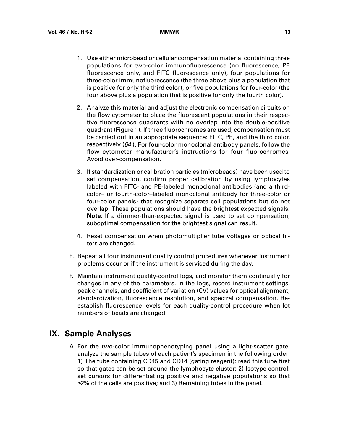- 1. Use either microbead or cellular compensation material containing three populations for two-color immunofluorescence (no fluorescence, PE fluorescence only, and FITC fluorescence only), four populations for three-color immunofluorescence (the three above plus a population that is positive for only the third color), or five populations for four-color (the four above plus a population that is positive for only the fourth color).
- 2. Analyze this material and adjust the electronic compensation circuits on the flow cytometer to place the fluorescent populations in their respective fluorescence quadrants with no overlap into the double-positive quadrant (Figure 1). If three fluorochromes are used, compensation must be carried out in an appropriate sequence: FITC, PE, and the third color, respectively (64). For four-color monoclonal antibody panels, follow the flow cytometer manufacturer's instructions for four fluorochromes. Avoid over-compensation.
- 3. If standardization or calibration particles (microbeads) have been used to set compensation, confirm proper calibration by using lymphocytes labeled with FITC- and PE-labeled monoclonal antibodies (and a thirdcolor– or fourth-color–labeled monoclonal antibody for three-color or four-color panels) that recognize separate cell populations but do not overlap. These populations should have the brightest expected signals. **Note**: If a dimmer-than-expected signal is used to set compensation, suboptimal compensation for the brightest signal can result.
- 4. Reset compensation when photomultiplier tube voltages or optical filters are changed.
- E. Repeat all four instrument quality control procedures whenever instrument problems occur or if the instrument is serviced during the day.
- F. Maintain instrument quality-control logs, and monitor them continually for changes in any of the parameters. In the logs, record instrument settings, peak channels, and coefficient of variation (CV) values for optical alignment, standardization, fluorescence resolution, and spectral compensation. Reestablish fluorescence levels for each quality-control procedure when lot numbers of beads are changed.

### **IX. Sample Analyses**

A. For the two-color immunophenotyping panel using a light-scatter gate, analyze the sample tubes of each patient's specimen in the following order: 1) The tube containing CD45 and CD14 (gating reagent): read this tube first so that gates can be set around the lymphocyte cluster; 2) Isotype control: set cursors for differentiating positive and negative populations so that  $\leq$ 2% of the cells are positive; and 3) Remaining tubes in the panel.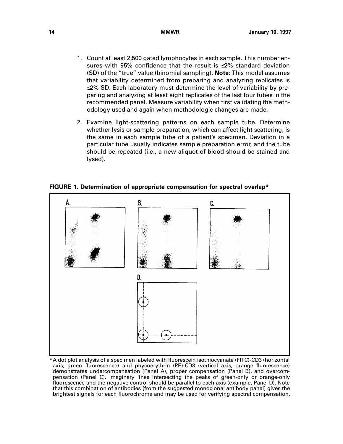- 1. Count at least 2,500 gated lymphocytes in each sample. This number ensures with 95% confidence that the result is ≤2% standard deviation (SD) of the "true'' value (binomial sampling). **Note**: This model assumes that variability determined from preparing and analyzing replicates is ≤2% SD. Each laboratory must determine the level of variability by preparing and analyzing at least eight replicates of the last four tubes in the recommended panel. Measure variability when first validating the methodology used and again when methodologic changes are made.
- 2. Examine light-scattering patterns on each sample tube. Determine whether lysis or sample preparation, which can affect light scattering, is the same in each sample tube of a patient's specimen. Deviation in a particular tube usually indicates sample preparation error, and the tube should be repeated (i.e., a new aliquot of blood should be stained and lysed).

**FIGURE 1. Determination of appropriate compensation for spectral overlap\***



<sup>\*</sup>A dot plot analysis of a specimen labeled with fluorescein isothiocyanate (FITC)-CD3 (horizontal axis, green fluorescence) and phycoerythrin (PE)-CD8 (vertical axis, orange fluorescence) demonstrates undercompensation (Panel A), proper compensation (Panel B), and overcompensation (Panel C). Imaginary lines intersecting the peaks of green-only or orange-only fluorescence and the negative control should be parallel to each axis (example, Panel D). Note that this combination of antibodies (from the suggested monoclonal antibody panel) gives the brightest signals for each fluorochrome and may be used for verifying spectral compensation.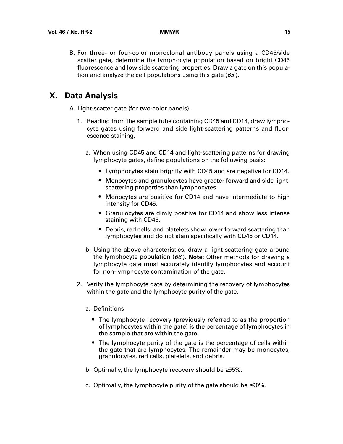B. For three- or four-color monoclonal antibody panels using a CD45/side scatter gate, determine the lymphocyte population based on bright CD45 fluorescence and low side scattering properties. Draw a gate on this population and analyze the cell populations using this gate  $(65)$ .

#### **X. Data Analysis**

A. Light-scatter gate (for two-color panels).

- 1. Reading from the sample tube containing CD45 and CD14, draw lymphocyte gates using forward and side light-scattering patterns and fluorescence staining.
	- a. When using CD45 and CD14 and light-scattering patterns for drawing lymphocyte gates, define populations on the following basis:
		- Lymphocytes stain brightly with CD45 and are negative for CD14.
		- Monocytes and granulocytes have greater forward and side lightscattering properties than lymphocytes.
		- Monocytes are positive for CD14 and have intermediate to high intensity for CD45.
		- Granulocytes are dimly positive for CD14 and show less intense staining with CD45.
		- Debris, red cells, and platelets show lower forward scattering than lymphocytes and do not stain specifically with CD45 or CD14.
	- b. Using the above characteristics, draw a light-scattering gate around the lymphocyte population (66 ). **Note**: Other methods for drawing a lymphocyte gate must accurately identify lymphocytes and account for non-lymphocyte contamination of the gate.
- 2. Verify the lymphocyte gate by determining the recovery of lymphocytes within the gate and the lymphocyte purity of the gate.

#### a. Definitions

- The lymphocyte recovery (previously referred to as the proportion of lymphocytes within the gate) is the percentage of lymphocytes in the sample that are within the gate.
- The lymphocyte purity of the gate is the percentage of cells within the gate that are lymphocytes. The remainder may be monocytes, granulocytes, red cells, platelets, and debris.
- b. Optimally, the lymphocyte recovery should be ≥95%.
- c. Optimally, the lymphocyte purity of the gate should be  $\geq 90\%$ .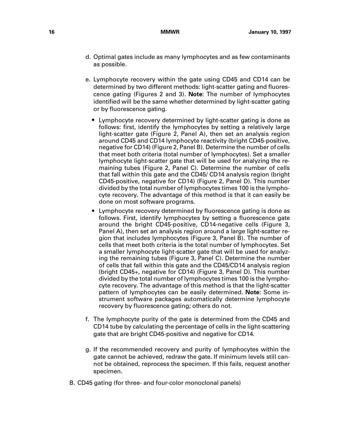- d. Optimal gates include as many lymphocytes and as few contaminants as possible.
- e. Lymphocyte recovery within the gate using CD45 and CD14 can be determined by two different methods: light-scatter gating and fluorescence gating (Figures 2 and 3). **Note**: The number of lymphocytes identified will be the same whether determined by light-scatter gating or by fluorescence gating.
	- Lymphocyte recovery determined by light-scatter gating is done as follows: first, identify the lymphocytes by setting a relatively large light-scatter gate (Figure 2, Panel A), then set an analysis region around CD45 and CD14 lymphocyte reactivity (bright CD45-positive, negative for CD14) (Figure 2, Panel B). Determine the number of cells that meet both criteria (total number of lymphocytes). Set a smaller lymphocyte light-scatter gate that will be used for analyzing the remaining tubes (Figure 2, Panel C). Determine the number of cells that fall within this gate and the CD45/ CD14 analysis region (bright CD45-positive, negative for CD14) (Figure 2, Panel D). This number divided by the total number of lymphocytes times 100 is the lymphocyte recovery. The advantage of this method is that it can easily be done on most software programs.
	- Lymphocyte recovery determined by fluorescence gating is done as follows. First, identify lymphocytes by setting a fluorescence gate around the bright CD45-positive, CD14-negative cells (Figure 3, Panel A), then set an analysis region around a large light-scatter region that includes lymphocytes (Figure 3, Panel B). The number of cells that meet both criteria is the total number of lymphocytes. Set a smaller lymphocyte light-scatter gate that will be used for analyzing the remaining tubes (Figure 3, Panel C). Determine the number of cells that fall within this gate and the CD45/CD14 analysis region (bright CD45+, negative for CD14) (Figure 3, Panel D). This number divided by the total number of lymphocytes times 100 is the lymphocyte recovery. The advantage of this method is that the light-scatter pattern of lymphocytes can be easily determined. **Note**: Some instrument software packages automatically determine lymphocyte recovery by fluorescence gating; others do not.
- f. The lymphocyte purity of the gate is determined from the CD45 and CD14 tube by calculating the percentage of cells in the light-scattering gate that are bright CD45-positive and negative for CD14.
- g. If the recommended recovery and purity of lymphocytes within the gate cannot be achieved, redraw the gate. If minimum levels still cannot be obtained, reprocess the specimen. If this fails, request another specimen.
- B. CD45 gating (for three- and four-color monoclonal panels)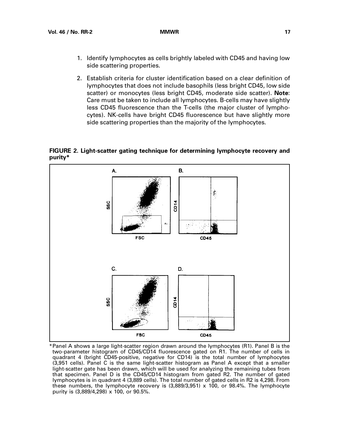- 1. Identify lymphocytes as cells brightly labeled with CD45 and having low side scattering properties.
- 2. Establish criteria for cluster identification based on a clear definition of lymphocytes that does not include basophils (less bright CD45, low side scatter) or monocytes (less bright CD45, moderate side scatter). **Note**: Care must be taken to include all lymphocytes. B-cells may have slightly less CD45 fluorescence than the T-cells (the major cluster of lymphocytes). NK-cells have bright CD45 fluorescence but have slightly more side scattering properties than the majority of the lymphocytes.



**FIGURE 2. Light-scatter gating technique for determining lymphocyte recovery and purity\***

\*Panel A shows a large light-scatter region drawn around the lymphocytes (R1). Panel B is the two-parameter histogram of CD45/CD14 fluorescence gated on R1. The number of cells in quadrant 4 (bright CD45-positive, negative for CD14) is the total number of lymphocytes (3,951 cells). Panel C is the same light-scatter histogram as Panel A except that a smaller light-scatter gate has been drawn, which will be used for analyzing the remaining tubes from that specimen. Panel D is the CD45/CD14 histogram from gated R2. The number of gated lymphocytes is in quadrant 4 (3,889 cells). The total number of gated cells in R2 is 4,298. From these numbers, the lymphocyte recovery is  $(3,889/3,951) \times 100$ , or 98.4%. The lymphocyte purity is (3,889/4,298) x 100, or 90.5%.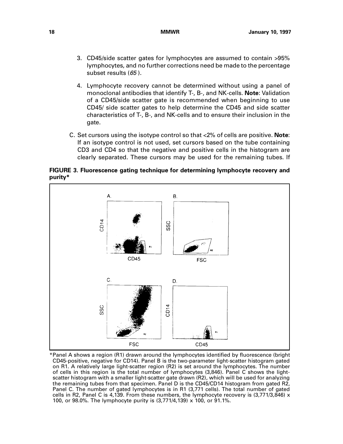- 3. CD45/side scatter gates for lymphocytes are assumed to contain >95% lymphocytes, and no further corrections need be made to the percentage subset results (65).
- 4. Lymphocyte recovery cannot be determined without using a panel of monoclonal antibodies that identify T-, B-, and NK-cells. **Note**: Validation of a CD45/side scatter gate is recommended when beginning to use CD45/ side scatter gates to help determine the CD45 and side scatter characteristics of T-, B-, and NK-cells and to ensure their inclusion in the gate.
- C. Set cursors using the isotype control so that <2% of cells are positive. **Note**: If an isotype control is not used, set cursors based on the tube containing CD3 and CD4 so that the negative and positive cells in the histogram are clearly separated. These cursors may be used for the remaining tubes. If

**FIGURE 3. Fluorescence gating technique for determining lymphocyte recovery and purity\***



\*Panel A shows a region (R1) drawn around the lymphocytes identified by fluorescence (bright CD45-positive, negative for CD14). Panel B is the two-parameter light-scatter histogram gated on R1. A relatively large light-scatter region (R2) is set around the lymphocytes. The number of cells in this region is the total number of lymphocytes (3,846). Panel C shows the lightscatter histogram with a smaller light-scatter gate drawn (R2), which will be used for analyzing the remaining tubes from that specimen. Panel D is the CD45/CD14 histogram from gated R2, Panel C. The number of gated lymphocytes is in R1 (3,771 cells). The total number of gated cells in R2, Panel C is 4,139. From these numbers, the lymphocyte recovery is  $(3,771/3,846)$  x 100, or 98.0%. The lymphocyte purity is (3,771/4,139) x 100, or 91.1%.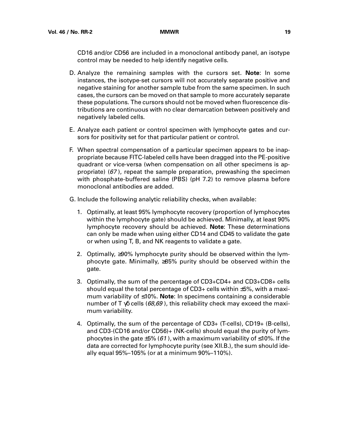CD16 and/or CD56 are included in a monoclonal antibody panel, an isotype control may be needed to help identify negative cells.

- D. Analyze the remaining samples with the cursors set. **Note**: In some instances, the isotype-set cursors will not accurately separate positive and negative staining for another sample tube from the same specimen. In such cases, the cursors can be moved on that sample to more accurately separate these populations. The cursors should not be moved when fluorescence distributions are continuous with no clear demarcation between positively and negatively labeled cells.
- E. Analyze each patient or control specimen with lymphocyte gates and cursors for positivity set for that particular patient or control.
- F. When spectral compensation of a particular specimen appears to be inappropriate because FITC-labeled cells have been dragged into the PE-positive quadrant or vice-versa (when compensation on all other specimens is appropriate) (67 ), repeat the sample preparation, prewashing the specimen with phosphate-buffered saline (PBS) (pH 7.2) to remove plasma before monoclonal antibodies are added.
- G. Include the following analytic reliability checks, when available:
	- 1. Optimally, at least 95% lymphocyte recovery (proportion of lymphocytes within the lymphocyte gate) should be achieved. Minimally, at least 90% lymphocyte recovery should be achieved. **Note**: These determinations can only be made when using either CD14 and CD45 to validate the gate or when using T, B, and NK reagents to validate a gate.
	- 2. Optimally, ≥90% lymphocyte purity should be observed within the lymphocyte gate. Minimally, ≥85% purity should be observed within the gate.
	- 3. Optimally, the sum of the percentage of CD3+CD4+ and CD3+CD8+ cells should equal the total percentage of  $CD3+$  cells within  $\pm 5\%$ , with a maximum variability of ≤10%. **Note**: In specimens containing a considerable number of T  $\gamma\delta$  cells (68,69), this reliability check may exceed the maximum variability.
	- 4. Optimally, the sum of the percentage of CD3+ (T-cells), CD19+ (B-cells), and CD3-(CD16 and/or CD56)+ (NK-cells) should equal the purity of lymphocytes in the gate  $\pm 5\%$  (61), with a maximum variability of ≤10%. If the data are corrected for lymphocyte purity (see XII.B.), the sum should ideally equal 95%–105% (or at a minimum 90%–110%).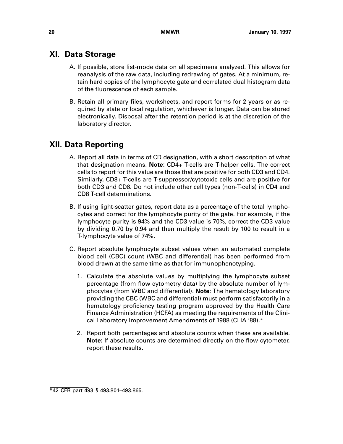# **XI. Data Storage**

- A. If possible, store list-mode data on all specimens analyzed. This allows for reanalysis of the raw data, including redrawing of gates. At a minimum, retain hard copies of the lymphocyte gate and correlated dual histogram data of the fluorescence of each sample.
- B. Retain all primary files, worksheets, and report forms for 2 years or as required by state or local regulation, whichever is longer. Data can be stored electronically. Disposal after the retention period is at the discretion of the laboratory director.

# **XII. Data Reporting**

- A. Report all data in terms of CD designation, with a short description of what that designation means. **Note**: CD4+ T-cells are T-helper cells. The correct cells to report for this value are those that are positive for both CD3 and CD4. Similarly, CD8+ T-cells are T-suppressor/cytotoxic cells and are positive for both CD3 and CD8. Do not include other cell types (non-T-cells) in CD4 and CD8 T-cell determinations.
- B. If using light-scatter gates, report data as a percentage of the total lymphocytes and correct for the lymphocyte purity of the gate. For example, if the lymphocyte purity is 94% and the CD3 value is 70%, correct the CD3 value by dividing 0.70 by 0.94 and then multiply the result by 100 to result in a T-lymphocyte value of 74%.
- C. Report absolute lymphocyte subset values when an automated complete blood cell (CBC) count (WBC and differential) has been performed from blood drawn at the same time as that for immunophenotyping.
	- 1. Calculate the absolute values by multiplying the lymphocyte subset percentage (from flow cytometry data) by the absolute number of lymphocytes (from WBC and differential). **Note**: The hematology laboratory providing the CBC (WBC and differential) must perform satisfactorily in a hematology proficiency testing program approved by the Health Care Finance Administration (HCFA) as meeting the requirements of the Clinical Laboratory Improvement Amendments of 1988 (CLIA '88).\*
	- 2. Report both percentages and absolute counts when these are available. **Note:** If absolute counts are determined directly on the flow cytometer, report these results.

<sup>\*42</sup> CFR part 493 § 493.801–493.865.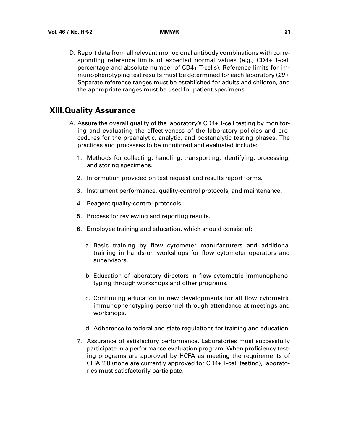D. Report data from all relevant monoclonal antibody combinations with corresponding reference limits of expected normal values (e.g., CD4+ T-cell percentage and absolute number of CD4+ T-cells). Reference limits for immunophenotyping test results must be determined for each laboratory (29 ). Separate reference ranges must be established for adults and children, and the appropriate ranges must be used for patient specimens.

## **XIII.Quality Assurance**

- A. Assure the overall quality of the laboratory's CD4+ T-cell testing by monitoring and evaluating the effectiveness of the laboratory policies and procedures for the preanalytic, analytic, and postanalytic testing phases. The practices and processes to be monitored and evaluated include:
	- 1. Methods for collecting, handling, transporting, identifying, processing, and storing specimens.
	- 2. Information provided on test request and results report forms.
	- 3. Instrument performance, quality-control protocols, and maintenance.
	- 4. Reagent quality-control protocols.
	- 5. Process for reviewing and reporting results.
	- 6. Employee training and education, which should consist of:
		- a. Basic training by flow cytometer manufacturers and additional training in hands-on workshops for flow cytometer operators and supervisors.
		- b. Education of laboratory directors in flow cytometric immunophenotyping through workshops and other programs.
		- c. Continuing education in new developments for all flow cytometric immunophenotyping personnel through attendance at meetings and workshops.
		- d. Adherence to federal and state regulations for training and education.
	- 7. Assurance of satisfactory performance. Laboratories must successfully participate in a performance evaluation program. When proficiency testing programs are approved by HCFA as meeting the requirements of CLIA '88 (none are currently approved for CD4+ T-cell testing), laboratories must satisfactorily participate.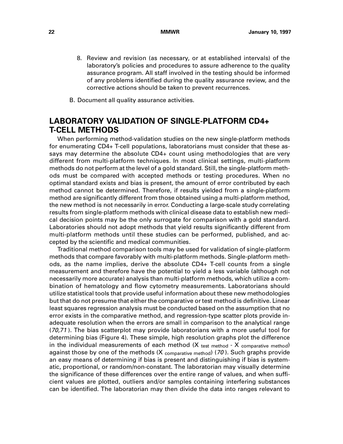<span id="page-25-0"></span>

- 8. Review and revision (as necessary, or at established intervals) of the laboratory's policies and procedures to assure adherence to the quality assurance program. All staff involved in the testing should be informed of any problems identified during the quality assurance review, and the corrective actions should be taken to prevent recurrences.
- B. Document all quality assurance activities.

## **LABORATORY VALIDATION OF SINGLE-PLATFORM CD4+ T-CELL METHODS**

When performing method-validation studies on the new single-platform methods for enumerating CD4+ T-cell populations, laboratorians must consider that these assays may determine the absolute CD4+ count using methodologies that are very different from multi-platform techniques. In most clinical settings, multi-platform methods do not perform at the level of a gold standard. Still, the single-platform methods must be compared with accepted methods or testing procedures. When no optimal standard exists and bias is present, the amount of error contributed by each method cannot be determined. Therefore, if results yielded from a single-platform method are significantly different from those obtained using a multi-platform method, the new method is not necessarily in error. Conducting a large-scale study correlating results from single-platform methods with clinical disease data to establish new medical decision points may be the only surrogate for comparison with a gold standard. Laboratories should not adopt methods that yield results significantly different from multi-platform methods until these studies can be performed, published, and accepted by the scientific and medical communities.

Traditional method comparison tools may be used for validation of single-platform methods that compare favorably with multi-platform methods. Single-platform methods, as the name implies, derive the absolute CD4+ T-cell counts from a single measurement and therefore have the potential to yield a less variable (although not necessarily more accurate) analysis than multi-platform methods, which utilize a combination of hematology and flow cytometry measurements. Laboratorians should utilize statistical tools that provide useful information about these new methodologies but that do not presume that either the comparative or test method is definitive. Linear least squares regression analysis must be conducted based on the assumption that no error exists in the comparative method, and regression-type scatter plots provide inadequate resolution when the errors are small in comparison to the analytical range (70,71 ). The bias scatterplot may provide laboratorians with a more useful tool for determining bias (Figure 4). These simple, high resolution graphs plot the difference in the individual measurements of each method  $(X_{test method} - X_{compactive method})$ against those by one of the methods  $(X \text{ comparative method})$  (70). Such graphs provide an easy means of determining if bias is present and distinguishing if bias is systematic, proportional, or random/non-constant. The laboratorian may visually determine the significance of these differences over the entire range of values, and when sufficient values are plotted, outliers and/or samples containing interfering substances can be identified. The laboratorian may then divide the data into ranges relevant to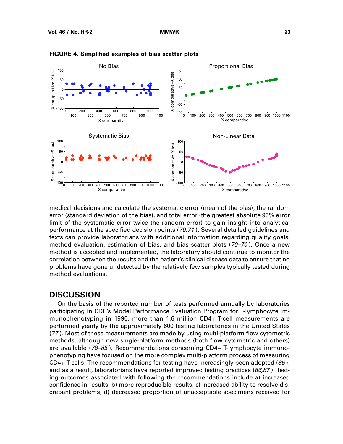<span id="page-26-0"></span>



medical decisions and calculate the systematic error (mean of the bias), the random error (standard deviation of the bias), and total error (the greatest absolute 95% error limit of the systematic error twice the random error) to gain insight into analytical performance at the specified decision points (70,71 ). Several detailed guidelines and texts can provide laboratorians with additional information regarding quality goals, method evaluation, estimation of bias, and bias scatter plots (70–76 ). Once a new method is accepted and implemented, the laboratory should continue to monitor the correlation between the results and the patient's clinical disease data to ensure that no problems have gone undetected by the relatively few samples typically tested during method evaluations.

#### **DISCUSSION**

On the basis of the reported number of tests performed annually by laboratories participating in CDC's Model Performance Evaluation Program for T-lymphocyte immunophenotyping in 1995, more than 1.6 million CD4+ T-cell measurements are performed yearly by the approximately 600 testing laboratories in the United States (77 ). Most of these measurements are made by using multi-platform flow cytometric methods, although new single-platform methods (both flow cytometric and others) are available (78–85 ). Recommendations concerning CD4+ T-lymphocyte immunophenotyping have focused on the more complex multi-platform process of measuring CD4+ T-cells. The recommendations for testing have increasingly been adopted (86), and as a result, laboratorians have reported improved testing practices (86,87). Testing outcomes associated with following the recommendations include a) increased confidence in results, b) more reproducible results, c) increased ability to resolve discrepant problems, d) decreased proportion of unacceptable specimens received for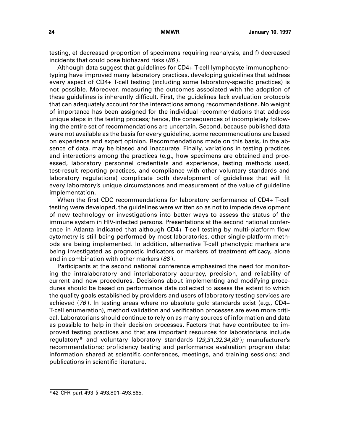testing, e) decreased proportion of specimens requiring reanalysis, and f) decreased incidents that could pose biohazard risks  $(86)$ .

Although data suggest that guidelines for CD4+ T-cell lymphocyte immunophenotyping have improved many laboratory practices, developing guidelines that address every aspect of CD4+ T-cell testing (including some laboratory-specific practices) is not possible. Moreover, measuring the outcomes associated with the adoption of these guidelines is inherently difficult. First, the guidelines lack evaluation protocols that can adequately account for the interactions among recommendations. No weight of importance has been assigned for the individual recommendations that address unique steps in the testing process; hence, the consequences of incompletely following the entire set of recommendations are uncertain. Second, because published data were not available as the basis for every guideline, some recommendations are based on experience and expert opinion. Recommendations made on this basis, in the absence of data, may be biased and inaccurate. Finally, variations in testing practices and interactions among the practices (e.g., how specimens are obtained and processed, laboratory personnel credentials and experience, testing methods used, test-result reporting practices, and compliance with other voluntary standards and laboratory regulations) complicate both development of guidelines that will fit every laboratory's unique circumstances and measurement of the value of guideline implementation.

When the first CDC recommendations for laboratory performance of CD4+ T-cell testing were developed, the guidelines were written so as not to impede development of new technology or investigations into better ways to assess the status of the immune system in HIV-infected persons. Presentations at the second national conference in Atlanta indicated that although CD4+ T-cell testing by multi-platform flow cytometry is still being performed by most laboratories, other single-platform methods are being implemented. In addition, alternative T-cell phenotypic markers are being investigated as prognostic indicators or markers of treatment efficacy, alone and in combination with other markers (88).

Participants at the second national conference emphasized the need for monitoring the intralaboratory and interlaboratory accuracy, precision, and reliability of current and new procedures. Decisions about implementing and modifying procedures should be based on performance data collected to assess the extent to which the quality goals established by providers and users of laboratory testing services are achieved (76). In testing areas where no absolute gold standards exist (e.g.,  $CD4+$ T-cell enumeration), method validation and verification processes are even more critical. Laboratorians should continue to rely on as many sources of information and data as possible to help in their decision processes. Factors that have contributed to improved testing practices and that are important resources for laboratorians include regulatory\* and voluntary laboratory standards  $(29,31,32,34,89)$ ; manufacturer's recommendations; proficiency testing and performance evaluation program data; information shared at scientific conferences, meetings, and training sessions; and publications in scientific literature.

<sup>\*42</sup> CFR part 493 § 493.801–493.865.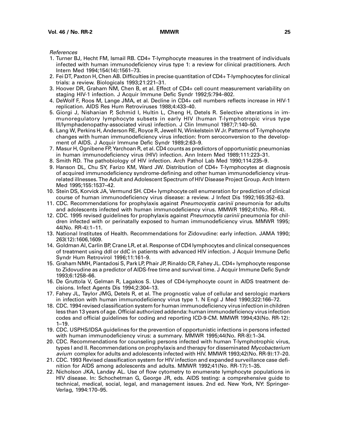<span id="page-28-0"></span>References

- 1. Turner BJ, Hecht FM, Ismail RB. CD4+ T-lymphocyte measures in the treatment of individuals infected with human immunodeficiency virus type 1: a review for clinical practitioners. Arch Intern Med 1994;154(14):1561–73.
- 2. Fei DT, Paxton H, Chen AB. Difficulties in precise quantitation of CD4+ T-lymphocytes for clinical trials: a review. Biologicals 1993;21:221–31.
- 3. Hoover DR, Graham NM, Chen B, et al. Effect of CD4+ cell count measurement variability on staging HIV-1 infection. J Acquir Immune Defic Syndr 1992;5:794–802.
- 4. DeWolf F, Roos M, Lange JMA, et al. Decline in CD4+ cell numbers reflects increase in HIV-1 replication. AIDS Res Hum Retroviruses 1988;4:433–40.
- 5. Giorgi J, Nishanian P, Schmid I, Hultin L, Cheng H, Detels R. Selective alterations in immunoregulatory lymphocyte subsets in early HIV (human T-lymphotropic virus type III/lymphadenopathy-associated virus) infection. J Clin Immunol 1987;7:140–50.
- 6. Lang W, Perkins H, Anderson RE, Royce R, Jewell N, Winkelstein W Jr. Patterns of T-lymphocyte changes with human immunodeficiency virus infection: from seroconversion to the development of AIDS. J Acquir Immune Defic Syndr 1989;2:63–9.
- 7. Masur H, Ognibene FP, Yarchoan R, et al. CD4 counts as predictors of opportunistic pneumonias in human immunodeficiency virus (HIV) infection. Ann Intern Med 1989;111:223–31.
- 8. Smith RD. The pathobiology of HIV infection. Arch Pathol Lab Med 1990;114:235–9.
- 9. Hanson DL, Chu SY, Farizo KM, Ward JW. Distribution of CD4+ T-lymphocytes at diagnosis of acquired immunodeficiency syndrome-defining and other human immunodeficiency virusrelated illnesses. The Adult and Adolescent Spectrum of HIV Disease Project Group. Arch Intern Med 1995;155:1537–42.
- 10. Stein DS, Korvick JA, Vermund SH. CD4+ lymphocyte cell enumeration for prediction of clinical course of human immunodeficiency virus disease: a review. J Infect Dis 1992;165:352–63.
- 11. CDC. Recommendations for prophylaxis against Pneumocystis carinii pneumonia for adults and adolescents infected with human immunodeficiency virus. MMWR 1992;41(No. RR-4).
- 12. CDC. 1995 revised guidelines for prophylaxis against Pneumocytis carinii pneumonia for children infected with or perinatally exposed to human immunodeficiency virus. MMWR 1995; 44(No. RR-4):1–11.
- 13. National Institutes of Health. Recommendations for Zidovudine: early infection. JAMA 1990; 263(12):1606,1609.
- 14. Goldman AI, Carlin BP, Crane LR, et al. Response of CD4 lymphocytes and clinical consequences of treatment using ddI or ddC in patients with advanced HIV infection. J Acquir Immune Defic Syndr Hum Retrovirol 1996;11:161–9.
- 15. Graham NMH, Piantadosi S, Park LP, Phair JP, Rinaldo CR, Fahey JL. CD4+ lymphocyte response to Zidovudine as a predictor of AIDS-free time and survival time. J Acquir Immune Defic Syndr 1993;6:1258–66.
- 16. De Gruttola V, Gelman R, Lagakos S. Uses of CD4-lymphocyte count in AIDS treatment decisions. Infect Agents Dis 1994;2:304–13.
- 17. Fahey JL, Taylor JMG, Detels R, et al. The prognostic value of cellular and serologic markers in infection with human immunodeficiency virus type 1. N Engl J Med 1990;322:166–72.
- 18. CDC. 1994 revised classification system for human immunodeficiency virus infection in children less than 13 years of age. Official authorized addenda: human immunodeficiency virus infection codes and official guidelines for coding and reporting ICD-9-CM. MMWR 1994;43(No. RR-12): 1–19.
- 19. CDC. USPHS/IDSA guidelines for the prevention of opportunistic infections in persons infected with human immunodeficiency virus: a summary. MMWR 1995;44(No. RR-8):1–34.
- 20. CDC. Recommendations for counseling persons infected with human T-lymphotrophic virus, types I and II. Recommendations on prophylaxis and therapy for disseminated Mycobacterium avium complex for adults and adolescents infected with HIV. MMWR 1993;42(No. RR-9):17–20.
- 21. CDC. 1993 Revised classification system for HIV infection and expanded surveillance case definition for AIDS among adolescents and adults. MMWR 1992;41(No. RR-17):1–35.
- 22. Nicholson JKA, Landay AL. Use of flow cytometry to enumerate lymphocyte populations in HIV disease. In: Schochetman G, George JR, eds. AIDS testing: a comprehensive guide to technical, medical, social, legal, and management issues. 2nd ed. New York, NY: Springer-Verlag, 1994:170–95.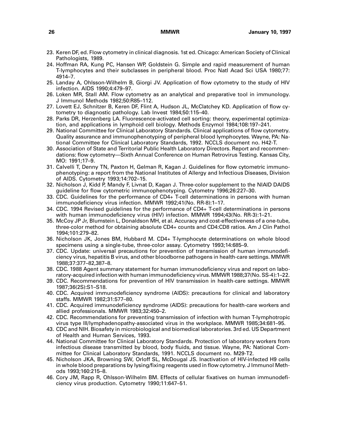- 23. Keren DF, ed. Flow cytometry in clinical diagnosis. 1st ed. Chicago: American Society of Clinical Pathologists, 1989.
- 24. Hoffman RA, Kung PC, Hansen WP, Goldstein G. Simple and rapid measurement of human T-lymphocytes and their subclasses in peripheral blood. Proc Natl Acad Sci USA 1980;77: 4914–7.
- 25. Landay A, Ohlsson-Wilhelm B, Giorgi JV. Application of flow cytometry to the study of HIV infection. AIDS 1990;4:479–97.
- 26. Loken MR, Stall AM. Flow cytometry as an analytical and preparative tool in immunology. J Immunol Methods 1982;50:R85–112.
- 27. Lovett EJ, Schnitzer B, Keren DF, Flint A, Hudson JL, McClatchey KD. Application of flow cytometry to diagnostic pathology. Lab Invest 1984;50:115–40.
- 28. Parks DR, Herzenberg LA. Fluorescence-activated cell sorting: theory, experimental optimization, and applications in lymphoid cell biology. Methods Enzymol 1984;108:197–241.
- 29. National Committee for Clinical Laboratory Standards. Clinical applications of flow cytometry. Quality assurance and immunophenotyping of peripheral blood lymphocytes. Wayne, PA: National Committee for Clinical Laboratory Standards, 1992. NCCLS document no. H42-T.
- 30. Association of State and Territorial Public Health Laboratory Directors. Report and recommendations: flow cytometry—Sixth Annual Conference on Human Retrovirus Testing. Kansas City, MO: 1991;17–9.
- 31. Calvelli T, Denny TN, Paxton H, Gelman R, Kagan J. Guidelines for flow cytometric immunophenotyping: a report from the National Institutes of Allergy and Infectious Diseases, Division of AIDS. Cytometry 1993;14:702–15.
- 32. Nicholson J, Kidd P, Mandy F, Livnat D, Kagan J. Three-color supplement to the NIAID DAIDS guideline for flow cytometric immunophenotyping. Cytometry 1996;26:227–30.
- 33. CDC. Guidelines for the performance of CD4+ T-cell determinations in persons with human immunodeficiency virus infection. MMWR 1992;41(No. RR-8):1–17.
- 34. CDC. 1994 Revised guidelines for the performance of CD4+ T-cell determinations in persons with human immunodeficiency virus (HIV) infection. MMWR 1994;43(No. RR-3):1–21.
- 35. McCoy JP Jr, Blumstein L, Donaldson MH, et al. Accuracy and cost-effectiveness of a one-tube, three-color method for obtaining absolute CD4+ counts and CD4:CD8 ratios. Am J Clin Pathol 1994;101:279–82.
- 36. Nicholson JK, Jones BM, Hubbard M. CD4+ T-lymphocyte determinations on whole blood specimens using a single-tube, three-color assay. Cytometry 1993;14:685–9.
- 37. CDC. Update: universal precautions for prevention of transmission of human immunodeficiency virus, hepatitis B virus, and other bloodborne pathogens in health-care settings. MMWR 1988;37:377–82,387–8.
- 38. CDC. 1988 Agent summary statement for human immunodeficiency virus and report on laboratory-acquired infection with human immunodeficiency virus. MMWR 1988;37(No. SS-4):1–22.
- 39. CDC. Recommendations for prevention of HIV transmission in health-care settings. MMWR 1987;36(2S):S1–S18.
- 40. CDC. Acquired immunodeficiency syndrome (AIDS): precautions for clinical and laboratory staffs. MMWR 1982;31:577–80.
- 41. CDC. Acquired immunodeficiency syndrome (AIDS): precautions for health-care workers and allied professionals. MMWR 1983;32:450–2.
- 42. CDC. Recommendations for preventing transmission of infection with human T-lymphotropic virus type III/lymphadenopathy-associated virus in the workplace. MMWR 1985;34:681–95.
- 43. CDC and NIH. Biosafety in microbiological and biomedical laboratories. 3rd ed. US Department of Health and Human Services, 1993.
- 44. National Committee for Clinical Laboratory Standards. Protection of laboratory workers from infectious disease transmitted by blood, body fluids, and tissue. Wayne, PA: National Committee for Clinical Laboratory Standards, 1991. NCCLS document no. M29-T2.
- 45. Nicholson JKA, Browning SW, Orloff SL, McDougal JS. Inactivation of HIV-infected H9 cells in whole blood preparations by lysing/fixing reagents used in flow cytometry. J Immunol Methods 1993;160:215–8.
- 46. Cory JM, Rapp R, Ohlsson-Wilhelm BM. Effects of cellular fixatives on human immunodeficiency virus production. Cytometry 1990;11:647–51.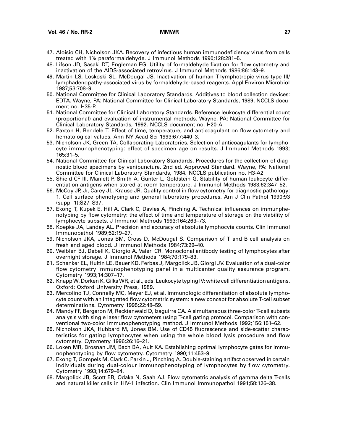- 47. Aloisio CH, Nicholson JKA. Recovery of infectious human immunodeficiency virus from cells treated with 1% paraformaldehyde. J Immunol Methods 1990;128:281–5.
- 48. Lifson JD, Sasaki DT, Engleman EG. Utility of formaldehyde fixation for flow cytometry and inactivation of the AIDS-associated retrovirus. J Immunol Methods 1986;86:143–9.
- 49. Martin LS, Loskoski SL, McDougal JS. Inactivation of human T-lymphotropic virus type III/ lymphadenopathy-associated virus by formaldehyde-based reagents. Appl Environ Microbiol 1987;53:708–9.
- 50. National Committee for Clinical Laboratory Standards. Additives to blood collection devices: EDTA. Wayne, PA: National Committee for Clinical Laboratory Standards, 1989. NCCLS document no. H35-P.
- 51. National Committee for Clinical Laboratory Standards. Reference leukocyte differential count (proportional) and evaluation of instrumental methods. Wayne, PA: National Committee for Clinical Laboratory Standards, 1992. NCCLS document no. H20-A.
- 52. Paxton H, Bendele T. Effect of time, temperature, and anticoagulant on flow cytometry and hematological values. Ann NY Acad Sci 1993;677:440–3.
- 53. Nicholson JK, Green TA, Collaborating Laboratories. Selection of anticoagulants for lymphocyte immunophenotyping: effect of specimen age on results. J Immunol Methods 1993; 165:31–5.
- 54. National Committee for Clinical Laboratory Standards. Procedures for the collection of diagnostic blood specimens by venipuncture. 2nd ed. Approved Standard. Wayne, PA: National Committee for Clinical Laboratory Standards, 1984. NCCLS publication no. H3-A2
- 55. Shield CF III, Manlett P, Smith A, Gunter L, Goldstein G. Stability of human leukocyte differentiation antigens when stored at room temperature. J Immunol Methods 1983;62:347–52.
- 56. McCoy JP, Jr, Carey JL, Krause JR. Quality control in flow cytometry for diagnostic pathology: 1. Cell surface phenotyping and general laboratory procedures. Am J Clin Pathol 1990;93 (suppl 1):S27–S37.
- 57. Ekong T, Kupek E, Hill A, Clark C, Davies A, Pinching A. Technical influences on immunphenotyping by flow cytometry: the effect of time and temperature of storage on the viability of lymphocyte subsets. J Immunol Methods 1993;164:263–73.
- 58. Koepke JA, Landay AL. Precision and accuracy of absolute lymphocyte counts. Clin Immunol Immunopathol 1989;52:19–27.
- 59. Nicholson JKA, Jones BM, Cross D, McDougal S. Comparison of T and B cell analysis on fresh and aged blood. J Immunol Methods 1984;73:29–40.
- 60. Weiblen BJ, Debell K, Giorgio A, Valeri CR. Monoclonal antibody testing of lymphocytes after overnight storage. J Immunol Methods 1984;70:179–83.
- 61. Schenker EL, Hultin LE, Bauer KD, Ferbas J, Margolick JB, Giorgi JV. Evaluation of a dual-color flow cytometry immunophenotyping panel in a multicenter quality assurance program. Cytometry 1993;14:307–17.
- 62. Knapp W, Dorken K, Gilks WR, et al., eds. Leukocyte typing IV: white cell differentiation antigens. Oxford: Oxford University Press, 1989.
- 63. Mercolino TJ, Connelly MC, Meyer EJ, et al. Immunologic differentiation of absolute lymphocyte count with an integrated flow cytometric system: a new concept for absolute T-cell subset determinations. Cytometry 1995;22:48–59.
- 64. Mandy FF, Bergeron M, Recktenwald D, Izaguirre CA. A simultaneous three-color T-cell subsets analysis with single laser flow cytometers using T-cell gating protocol. Comparison with conventional two-color immunophenotyping method. J Immunol Methods 1992;156:151–62.
- 65. Nicholson JKA, Hubbard M, Jones BM. Use of CD45 fluorescence and side-scatter characteristics for gating lymphocytes when using the whole blood lysis procedure and flow cytometry. Cytometry 1996;26:16–21.
- 66. Loken MR, Brosnan JM, Bach BA, Ault KA. Establishing optimal lymphocyte gates for immunophenotyping by flow cytometry. Cytometry 1990;11:453–9.
- 67. Ekong T, Gompels M, Clark C, Parkin J, Pinching A. Double-staining artifact observed in certain individuals during dual-colour immunophenotyping of lymphocytes by flow cytometry. Cytometry 1993;14:679–84.
- 68. Margolick JB, Scott ER, Odaka N, Saah AJ. Flow cytometric analysis of gamma delta T-cells and natural killer cells in HIV-1 infection. Clin Immunol Immunopathol 1991;58:126–38.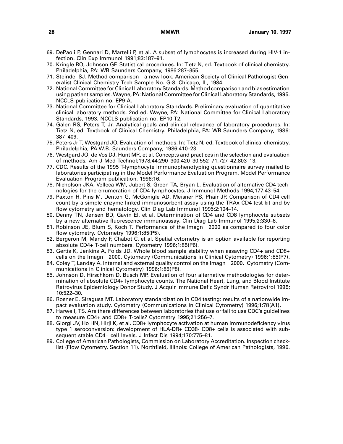- 69. DePaoli P, Gennari D, Martelli P, et al. A subset of lymphocytes is increased during HIV-1 infection. Clin Exp Immunol 1991;83:187–91.
- 70. Kringle RO, Johnson GF. Statistical procedures. In: Tietz N, ed. Textbook of clinical chemistry. Philadelphia, PA: WB Saunders Company, 1986:287–355.
- 71. Steindel SJ. Method comparison—a new look. American Society of Clinical Pathologist Generalist Clinical Chemistry Tech Sample No. G-8. Chicago, IL, 1984.
- 72. National Committee for Clinical Laboratory Standards. Method comparison and bias estimation using patient samples. Wayne, PA: National Committee for Clinical Laboratory Standards, 1995. NCCLS publication no. EP9-A.
- 73. National Committee for Clinical Laboratory Standards. Preliminary evaluation of quantitative clinical laboratory methods. 2nd ed. Wayne, PA: National Committee for Clinical Laboratory Standards, 1993. NCCLS publication no. EP10-T2.
- 74. Galen RS, Peters T, Jr. Analytical goals and clinical relevance of laboratory procedures. In: Tietz N, ed. Textbook of Clinical Chemistry. Philadelphia, PA: WB Saunders Company, 1986: 387–409.
- 75. Peters Jr T, Westgard JO. Evaluation of methods. In: Tietz N, ed. Textbook of clinical chemistry. Philadelphia, PA:W.B. Saunders Company, 1986:410–23.
- 76. Westgard JO, de Vos DJ, Hunt MR, et al. Concepts and practices in the selection and evaluation of methods. Am J Med Technol;1978;44:290–300,420–30,552–71,727–42,803–13.
- 77. CDC. Results of the 1995 T-lymphocyte immunophenotyping questionnaire survey mailed to laboratories participating in the Model Performance Evaluation Program. Model Performance Evaluation Program publication, 1996;16.
- 78. Nicholson JKA, Velleca WM, Jubert S, Green TA, Bryan L. Evaluation of alternative CD4 technologies for the enumeration of CD4 lymphocytes. J Immunol Methods 1994;177:43–54.
- 79. Paxton H, Pins M, Denton G, McGonigle AD, Meisner PS, Phair JP. Comparison of CD4 cell count by a simple enzyme-linked immunosorbent assay using the TRAx CD4 test kit and by flow cytometry and hematology. Clin Diag Lab Immunol 1995;2:104–14.
- 80. Denny TN, Jensen BD, Gavin EI, et al. Determination of CD4 and CD8 lymphocyte subsets by a new alternative fluorescence immunoassay. Clin Diag Lab Immunol 1995;2:330–6.
- 81. Robinson JE, Blum S, Koch T. Performance of the Imagn<sup>™</sup> 2000 as compared to four color flow cytometry. Cytometry 1996;1:85(P5).
- 82. Bergeron M, Mandy F, Chabot C, et al. Spatial cytometry is an option available for reporting absolute CD4+ T-cell numbers. Cytometry 1996;1:85(P6).
- 83. Gertis K, Jenkins A, Folds JD. Whole blood sample stability when assaying CD4+ and CD8+ cells on the Imagn 2000. Cytometry (Communications in Clinical Cytometry) 1996;1:85(P7).
- 84. Coley T, Landay A. Internal and external quality control on the Imagn  $^{\!\!\!\!\!\!\sim}$  2000.  $\,$  Cytometry (Communications in Clinical Cytometry) 1996;1:85(P8).
- 85. Johnson D, Hirschkorn D, Busch MP. Evaluation of four alternative methodologies for determination of absolute CD4+ lymphocyte counts. The National Heart, Lung, and Blood Institute Retrovirus Epidemiology Donor Study. J Acquir Immune Defic Syndr Human Retrovirol 1995; 10:522–30.
- 86. Rosner E, Siragusa MT. Laboratory standardization in CD4 testing: results of a nationwide impact evaluation study. Cytometry (Communications in Clinical Cytometry) 1996;1:78(A1).
- 87. Harwell, TS. Are there differences between laboratories that use or fail to use CDC's guidelines to measure CD4+ and CD8+ T-cells? Cytometry 1995;21:256–7.
- 88. Giorgi JV, Ho HN, Hirji K, et al. CD8+ lymphocyte activation at human immunodeficiency virus type 1 seroconversion: development of HLA-DR+ CD38- CD8+ cells is associated with subsequent stable CD4+ cell levels. J Infect Dis 1994;170:775–81.
- 89. College of American Pathologists, Commission on Laboratory Accreditation. Inspection checklist (Flow Cytometry, Section 11). Northfield, Illinois: College of American Pathologists, 1996.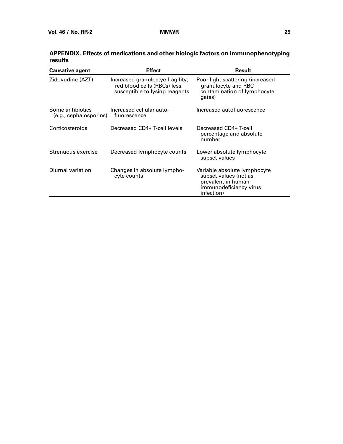| <b>Causative agent</b>                     | <b>Effect</b>                                                                                     | <b>Result</b>                                                                                                       |
|--------------------------------------------|---------------------------------------------------------------------------------------------------|---------------------------------------------------------------------------------------------------------------------|
| Zidovudine (AZT)                           | Increased granuloctye fragility;<br>red blood cells (RBCs) less<br>susceptible to lysing reagents | Poor light-scattering (increased<br>granulocyte and RBC<br>contamination of lymphocyte<br>gates)                    |
| Some antibiotics<br>(e.g., cephalosporins) | Increased cellular auto-<br>fluorescence                                                          | Increased autofluorescence                                                                                          |
| Corticosteroids                            | Decreased CD4+ T-cell levels                                                                      | Decreased CD4+ T-cell<br>percentage and absolute<br>number                                                          |
| Strenuous exercise                         | Decreased lymphocyte counts                                                                       | Lower absolute lymphocyte<br>subset values                                                                          |
| Diurnal variation                          | Changes in absolute lympho-<br>cyte counts                                                        | Variable absolute lymphocyte<br>subset values (not as<br>prevalent in human<br>immunodeficiency virus<br>infection) |

<span id="page-32-0"></span>**APPENDIX. Effects of medications and other biologic factors on immunophenotyping results**